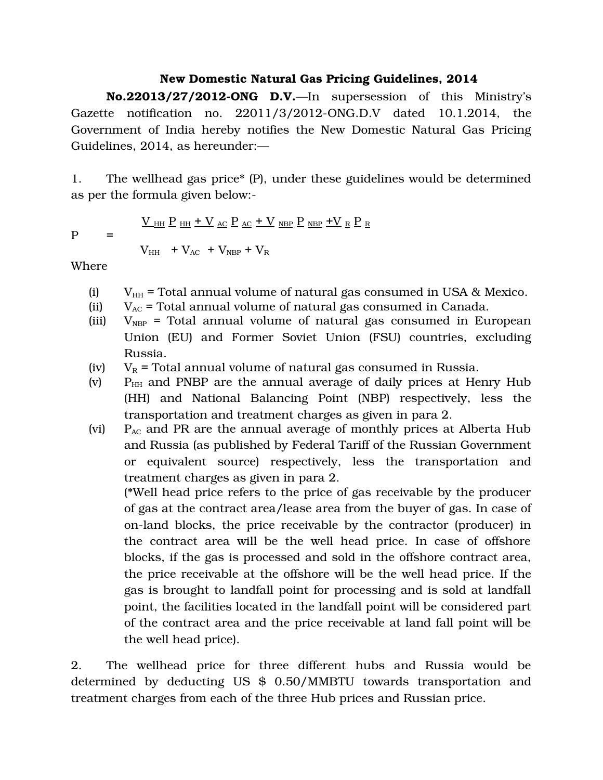## **New Domestic Natural Gas Pricing Guidelines, 2014**

**No.22013/27/2012-ONG D.V.**—In supersession of this Ministry's Gazette notification no.  $22011/3/2012$ -ONG.D.V dated  $10.1.2014$ , the Government of India hereby notifies the New Domestic Natural Gas Pricing Guidelines, 2014, as hereunder:—

1. The wellhead gas price\* (P), under these guidelines would be determined as per the formula given below:

$$
\underline{V}_{\rm HH} \; \underline{P}_{\rm HH} + \underline{V}_{\rm AC} \; \underline{P}_{\rm AC} + \underline{V}_{\rm NBP} \; \underline{P}_{\rm NBP} + \underline{V}_{\rm R} \; \underline{P}_{\rm R}
$$

 $P =$ 

 $V_{HH}$  +  $V_{AC}$  +  $V_{NBP}$  +  $V_R$ 

Where

- (i)  $V_{HH}$  = Total annual volume of natural gas consumed in USA & Mexico.
- (ii)  $V_{AC}$  = Total annual volume of natural gas consumed in Canada.
- (iii)  $V_{NBP}$  = Total annual volume of natural gas consumed in European Union (EU) and Former Soviet Union (FSU) countries, excluding Russia.
- (iv)  $V_R$  = Total annual volume of natural gas consumed in Russia.
- (v)  $P<sub>HH</sub>$  and PNBP are the annual average of daily prices at Henry Hub (HH) and National Balancing Point (NBP) respectively, less the transportation and treatment charges as given in para 2.
- (vi)  $P_{AC}$  and PR are the annual average of monthly prices at Alberta Hub and Russia (as published by Federal Tariff of the Russian Government or equivalent source) respectively, less the transportation and treatment charges as given in para 2.

(\*Well head price refers to the price of gas receivable by the producer of gas at the contract area/lease area from the buyer of gas. In case of on-land blocks, the price receivable by the contractor (producer) in the contract area will be the well head price. In case of offshore blocks, if the gas is processed and sold in the offshore contract area, the price receivable at the offshore will be the well head price. If the gas is brought to landfall point for processing and is sold at landfall point, the facilities located in the landfall point will be considered part of the contract area and the price receivable at land fall point will be the well head price).

2. The wellhead price for three different hubs and Russia would be determined by deducting US \$ 0.50/MMBTU towards transportation and treatment charges from each of the three Hub prices and Russian price.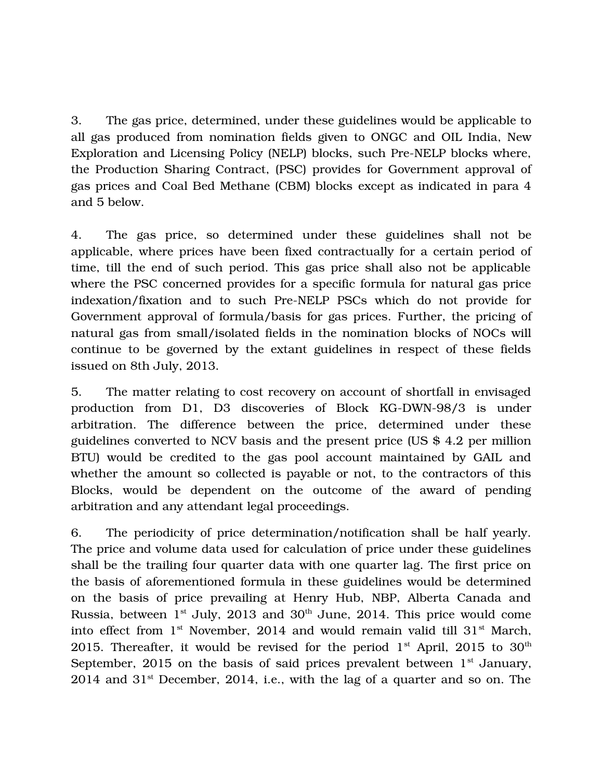3. The gas price, determined, under these guidelines would be applicable to all gas produced from nomination fields given to ONGC and OIL India, New Exploration and Licensing Policy (NELP) blocks, such Pre-NELP blocks where, the Production Sharing Contract, (PSC) provides for Government approval of gas prices and Coal Bed Methane (CBM) blocks except as indicated in para 4 and 5 below.

4. The gas price, so determined under these guidelines shall not be applicable, where prices have been fixed contractually for a certain period of time, till the end of such period. This gas price shall also not be applicable where the PSC concerned provides for a specific formula for natural gas price indexation/fixation and to such Pre-NELP PSCs which do not provide for Government approval of formula/basis for gas prices. Further, the pricing of natural gas from small/isolated fields in the nomination blocks of NOCs will continue to be governed by the extant guidelines in respect of these fields issued on 8th July, 2013.

5. The matter relating to cost recovery on account of shortfall in envisaged production from D1, D3 discoveries of Block KG-DWN-98/3 is under arbitration. The difference between the price, determined under these guidelines converted to NCV basis and the present price (US \$ 4.2 per million BTU) would be credited to the gas pool account maintained by GAIL and whether the amount so collected is payable or not, to the contractors of this Blocks, would be dependent on the outcome of the award of pending arbitration and any attendant legal proceedings.

6. The periodicity of price determination/notification shall be half yearly. The price and volume data used for calculation of price under these guidelines shall be the trailing four quarter data with one quarter lag. The first price on the basis of aforementioned formula in these guidelines would be determined on the basis of price prevailing at Henry Hub, NBP, Alberta Canada and Russia, between  $1<sup>st</sup>$  July, 2013 and 30<sup>th</sup> June, 2014. This price would come into effect from  $1<sup>st</sup>$  November, 2014 and would remain valid till  $31<sup>st</sup>$  March, 2015. Thereafter, it would be revised for the period  $1<sup>st</sup>$  April, 2015 to 30<sup>th</sup> September, 2015 on the basis of said prices prevalent between  $1<sup>st</sup>$  January,  $2014$  and  $31<sup>st</sup>$  December, 2014, i.e., with the lag of a quarter and so on. The